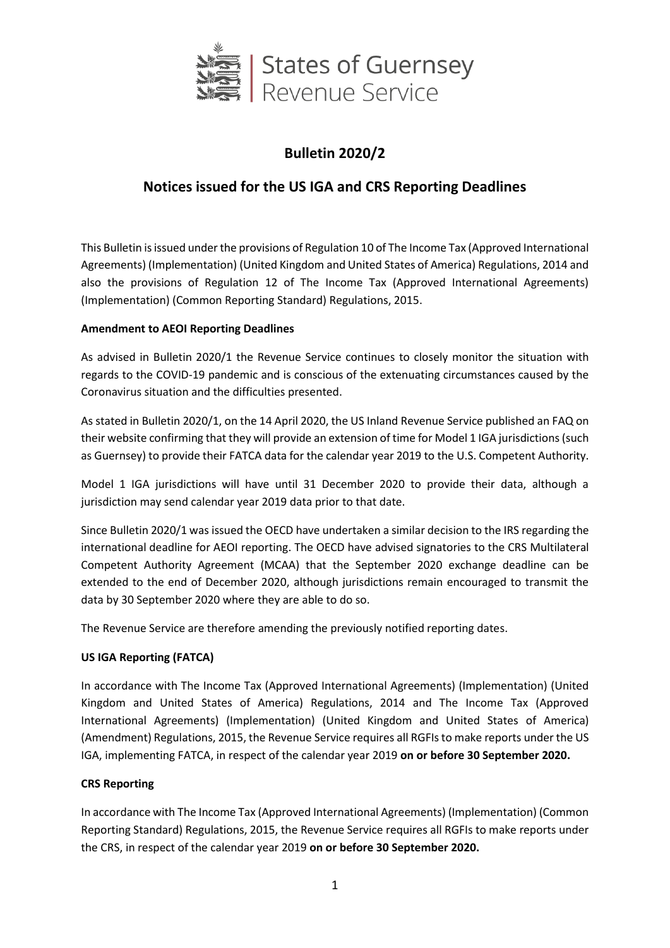

# **Bulletin 2020/2**

## **Notices issued for the US IGA and CRS Reporting Deadlines**

This Bulletin is issued under the provisions of Regulation 10 of The Income Tax (Approved International Agreements) (Implementation) (United Kingdom and United States of America) Regulations, 2014 and also the provisions of Regulation 12 of The Income Tax (Approved International Agreements) (Implementation) (Common Reporting Standard) Regulations, 2015.

### **Amendment to AEOI Reporting Deadlines**

As advised in Bulletin 2020/1 the Revenue Service continues to closely monitor the situation with regards to the COVID-19 pandemic and is conscious of the extenuating circumstances caused by the Coronavirus situation and the difficulties presented.

As stated in Bulletin 2020/1, on the 14 April 2020, the US Inland Revenue Service published an FAQ on their website confirming that they will provide an extension of time for Model 1 IGA jurisdictions (such as Guernsey) to provide their FATCA data for the calendar year 2019 to the U.S. Competent Authority.

Model 1 IGA jurisdictions will have until 31 December 2020 to provide their data, although a jurisdiction may send calendar year 2019 data prior to that date.

Since Bulletin 2020/1 was issued the OECD have undertaken a similar decision to the IRS regarding the international deadline for AEOI reporting. The OECD have advised signatories to the CRS Multilateral Competent Authority Agreement (MCAA) that the September 2020 exchange deadline can be extended to the end of December 2020, although jurisdictions remain encouraged to transmit the data by 30 September 2020 where they are able to do so.

The Revenue Service are therefore amending the previously notified reporting dates.

## **US IGA Reporting (FATCA)**

In accordance with The Income Tax (Approved International Agreements) (Implementation) (United Kingdom and United States of America) Regulations, 2014 and The Income Tax (Approved International Agreements) (Implementation) (United Kingdom and United States of America) (Amendment) Regulations, 2015, the Revenue Service requires all RGFIs to make reports under the US IGA, implementing FATCA, in respect of the calendar year 2019 **on or before 30 September 2020.**

### **CRS Reporting**

In accordance with The Income Tax (Approved International Agreements) (Implementation) (Common Reporting Standard) Regulations, 2015, the Revenue Service requires all RGFIs to make reports under the CRS, in respect of the calendar year 2019 **on or before 30 September 2020.**